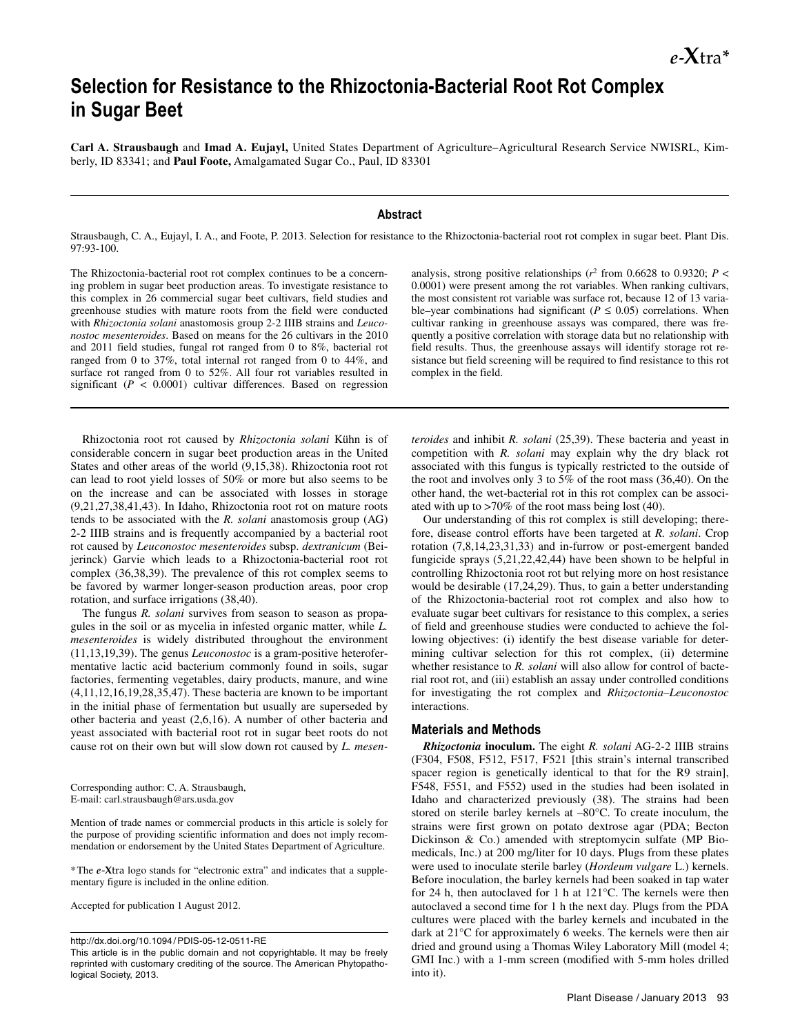# **Selection for Resistance to the Rhizoctonia-Bacterial Root Rot Complex in Sugar Beet**

**Carl A. Strausbaugh** and **Imad A. Eujayl,** United States Department of Agriculture–Agricultural Research Service NWISRL, Kimberly, ID 83341; and **Paul Foote,** Amalgamated Sugar Co., Paul, ID 83301

## **Abstract**

Strausbaugh, C. A., Eujayl, I. A., and Foote, P. 2013. Selection for resistance to the Rhizoctonia-bacterial root rot complex in sugar beet. Plant Dis. 97:93-100.

The Rhizoctonia-bacterial root rot complex continues to be a concerning problem in sugar beet production areas. To investigate resistance to this complex in 26 commercial sugar beet cultivars, field studies and greenhouse studies with mature roots from the field were conducted with *Rhizoctonia solani* anastomosis group 2-2 IIIB strains and *Leuconostoc mesenteroides*. Based on means for the 26 cultivars in the 2010 and 2011 field studies, fungal rot ranged from 0 to 8%, bacterial rot ranged from 0 to 37%, total internal rot ranged from 0 to 44%, and surface rot ranged from 0 to 52%. All four rot variables resulted in significant ( $P < 0.0001$ ) cultivar differences. Based on regression

Rhizoctonia root rot caused by *Rhizoctonia solani* Kühn is of considerable concern in sugar beet production areas in the United States and other areas of the world (9,15,38). Rhizoctonia root rot can lead to root yield losses of 50% or more but also seems to be on the increase and can be associated with losses in storage (9,21,27,38,41,43). In Idaho, Rhizoctonia root rot on mature roots tends to be associated with the *R. solani* anastomosis group (AG) 2-2 IIIB strains and is frequently accompanied by a bacterial root rot caused by *Leuconostoc mesenteroides* subsp. *dextranicum* (Beijerinck) Garvie which leads to a Rhizoctonia-bacterial root rot complex (36,38,39). The prevalence of this rot complex seems to be favored by warmer longer-season production areas, poor crop rotation, and surface irrigations (38,40).

The fungus *R. solani* survives from season to season as propagules in the soil or as mycelia in infested organic matter, while *L. mesenteroides* is widely distributed throughout the environment (11,13,19,39). The genus *Leuconostoc* is a gram-positive heterofermentative lactic acid bacterium commonly found in soils, sugar factories, fermenting vegetables, dairy products, manure, and wine (4,11,12,16,19,28,35,47). These bacteria are known to be important in the initial phase of fermentation but usually are superseded by other bacteria and yeast (2,6,16). A number of other bacteria and yeast associated with bacterial root rot in sugar beet roots do not cause rot on their own but will slow down rot caused by *L. mesen-*

Corresponding author: C. A. Strausbaugh, E-mail: carl.strausbaugh@ars.usda.gov

Mention of trade names or commercial products in this article is solely for the purpose of providing scientific information and does not imply recommendation or endorsement by the United States Department of Agriculture.

\*The *e*-**X**tra logo stands for "electronic extra" and indicates that a supplementary figure is included in the online edition.

Accepted for publication 1 August 2012.

http://dx.doi.org/10.1094/ PDIS-05-12-0511-RE

This article is in the public domain and not copyrightable. It may be freely reprinted with customary crediting of the source. The American Phytopathological Society, 2013.

analysis, strong positive relationships ( $r^2$  from 0.6628 to 0.9320;  $P <$ 0.0001) were present among the rot variables. When ranking cultivars, the most consistent rot variable was surface rot, because 12 of 13 variable–year combinations had significant ( $P \leq 0.05$ ) correlations. When cultivar ranking in greenhouse assays was compared, there was frequently a positive correlation with storage data but no relationship with field results. Thus, the greenhouse assays will identify storage rot resistance but field screening will be required to find resistance to this rot complex in the field.

*teroides* and inhibit *R. solani* (25,39). These bacteria and yeast in competition with *R. solani* may explain why the dry black rot associated with this fungus is typically restricted to the outside of the root and involves only 3 to 5% of the root mass (36,40). On the other hand, the wet-bacterial rot in this rot complex can be associated with up to >70% of the root mass being lost (40).

Our understanding of this rot complex is still developing; therefore, disease control efforts have been targeted at *R. solani*. Crop rotation (7,8,14,23,31,33) and in-furrow or post-emergent banded fungicide sprays (5,21,22,42,44) have been shown to be helpful in controlling Rhizoctonia root rot but relying more on host resistance would be desirable (17,24,29). Thus, to gain a better understanding of the Rhizoctonia-bacterial root rot complex and also how to evaluate sugar beet cultivars for resistance to this complex, a series of field and greenhouse studies were conducted to achieve the following objectives: (i) identify the best disease variable for determining cultivar selection for this rot complex, (ii) determine whether resistance to *R. solani* will also allow for control of bacterial root rot, and (iii) establish an assay under controlled conditions for investigating the rot complex and *Rhizoctonia–Leuconostoc* interactions.

#### **Materials and Methods**

*Rhizoctonia* **inoculum.** The eight *R. solani* AG-2-2 IIIB strains (F304, F508, F512, F517, F521 [this strain's internal transcribed spacer region is genetically identical to that for the R9 strain], F548, F551, and F552) used in the studies had been isolated in Idaho and characterized previously (38). The strains had been stored on sterile barley kernels at –80°C. To create inoculum, the strains were first grown on potato dextrose agar (PDA; Becton Dickinson & Co.) amended with streptomycin sulfate (MP Biomedicals, Inc.) at 200 mg/liter for 10 days. Plugs from these plates were used to inoculate sterile barley (*Hordeum vulgare* L.) kernels. Before inoculation, the barley kernels had been soaked in tap water for 24 h, then autoclaved for 1 h at 121°C. The kernels were then autoclaved a second time for 1 h the next day. Plugs from the PDA cultures were placed with the barley kernels and incubated in the dark at 21°C for approximately 6 weeks. The kernels were then air dried and ground using a Thomas Wiley Laboratory Mill (model 4; GMI Inc.) with a 1-mm screen (modified with 5-mm holes drilled into it).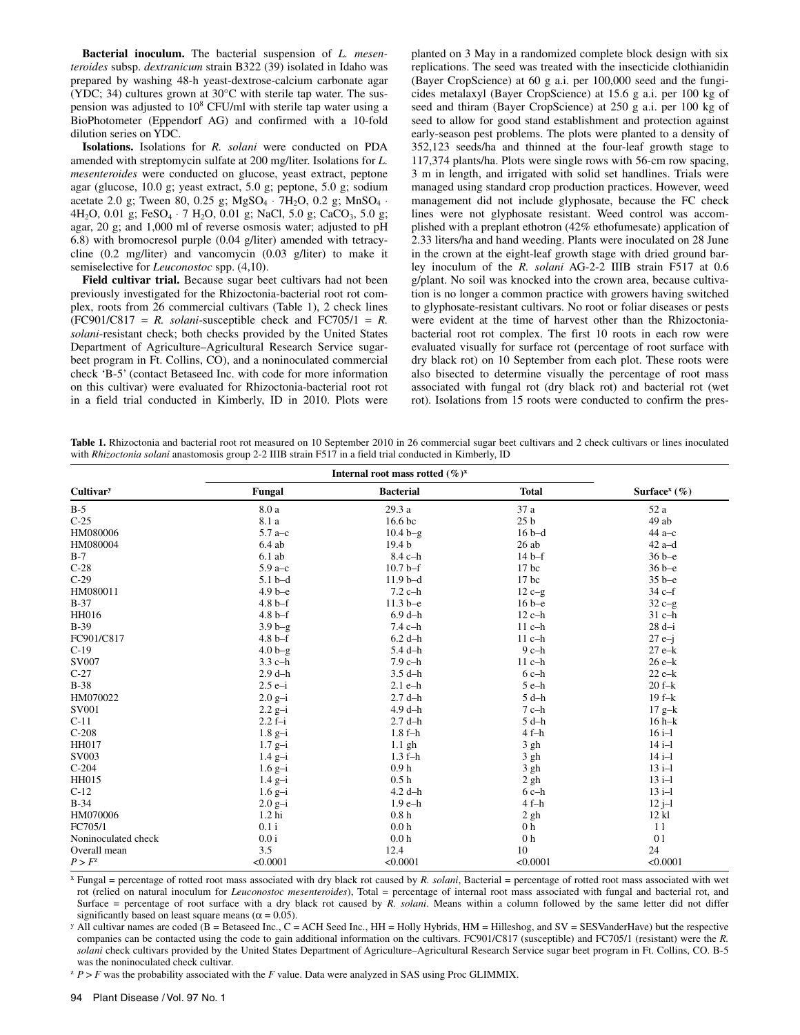**Bacterial inoculum.** The bacterial suspension of *L. mesenteroides* subsp. *dextranicum* strain B322 (39) isolated in Idaho was prepared by washing 48-h yeast-dextrose-calcium carbonate agar (YDC; 34) cultures grown at 30°C with sterile tap water. The suspension was adjusted to 10<sup>8</sup> CFU/ml with sterile tap water using a BioPhotometer (Eppendorf AG) and confirmed with a 10-fold dilution series on YDC.

**Isolations.** Isolations for *R. solani* were conducted on PDA amended with streptomycin sulfate at 200 mg/liter. Isolations for *L. mesenteroides* were conducted on glucose, yeast extract, peptone agar (glucose, 10.0 g; yeast extract, 5.0 g; peptone, 5.0 g; sodium acetate 2.0 g; Tween 80, 0.25 g; MgSO<sub>4</sub> ⋅ 7H<sub>2</sub>O, 0.2 g; MnSO<sub>4</sub> ⋅ 4H<sub>2</sub>O, 0.01 g; FeSO<sub>4</sub> ⋅ 7 H<sub>2</sub>O, 0.01 g; NaCl, 5.0 g; CaCO<sub>3</sub>, 5.0 g; agar, 20 g; and 1,000 ml of reverse osmosis water; adjusted to pH 6.8) with bromocresol purple (0.04 g/liter) amended with tetracycline (0.2 mg/liter) and vancomycin (0.03 g/liter) to make it semiselective for *Leuconostoc* spp. (4,10).

**Field cultivar trial.** Because sugar beet cultivars had not been previously investigated for the Rhizoctonia-bacterial root rot complex, roots from 26 commercial cultivars (Table 1), 2 check lines  $(FC901/C817 = R.$  *solani*-susceptible check and  $FC705/1 = R.$ *solani*-resistant check; both checks provided by the United States Department of Agriculture–Agricultural Research Service sugarbeet program in Ft. Collins, CO), and a noninoculated commercial check 'B-5' (contact Betaseed Inc. with code for more information on this cultivar) were evaluated for Rhizoctonia-bacterial root rot in a field trial conducted in Kimberly, ID in 2010. Plots were planted on 3 May in a randomized complete block design with six replications. The seed was treated with the insecticide clothianidin (Bayer CropScience) at 60 g a.i. per 100,000 seed and the fungicides metalaxyl (Bayer CropScience) at 15.6 g a.i. per 100 kg of seed and thiram (Bayer CropScience) at 250 g a.i. per 100 kg of seed to allow for good stand establishment and protection against early-season pest problems. The plots were planted to a density of 352,123 seeds/ha and thinned at the four-leaf growth stage to 117,374 plants/ha. Plots were single rows with 56-cm row spacing, 3 m in length, and irrigated with solid set handlines. Trials were managed using standard crop production practices. However, weed management did not include glyphosate, because the FC check lines were not glyphosate resistant. Weed control was accomplished with a preplant ethotron (42% ethofumesate) application of 2.33 liters/ha and hand weeding. Plants were inoculated on 28 June in the crown at the eight-leaf growth stage with dried ground barley inoculum of the *R. solani* AG-2-2 IIIB strain F517 at 0.6 g/plant. No soil was knocked into the crown area, because cultivation is no longer a common practice with growers having switched to glyphosate-resistant cultivars. No root or foliar diseases or pests were evident at the time of harvest other than the Rhizoctoniabacterial root rot complex. The first 10 roots in each row were evaluated visually for surface rot (percentage of root surface with dry black rot) on 10 September from each plot. These roots were also bisected to determine visually the percentage of root mass associated with fungal rot (dry black rot) and bacterial rot (wet rot). Isolations from 15 roots were conducted to confirm the pres-

**Table 1.** Rhizoctonia and bacterial root rot measured on 10 September 2010 in 26 commercial sugar beet cultivars and 2 check cultivars or lines inoculated with *Rhizoctonia solani* anastomosis group 2-2 IIIB strain F517 in a field trial conducted in Kimberly, ID

|                     | Internal root mass rotted $(\%)^{x}$ |                    |                 |                             |  |
|---------------------|--------------------------------------|--------------------|-----------------|-----------------------------|--|
| Cultivary           | Fungal                               | <b>Bacterial</b>   | <b>Total</b>    | Surface <sup>x</sup> $(\%)$ |  |
| $B-5$               | 8.0 a                                | 29.3 a             | 37 a            | 52 a                        |  |
| $C-25$              | 8.1 a                                | 16.6 <sub>bc</sub> | 25 <sub>b</sub> | 49 ab                       |  |
| HM080006            | $5.7a-c$                             | $10.4 b-g$         | $16b-d$         | $44a-c$                     |  |
| HM080004            | $6.4$ ab                             | 19.4 <sub>b</sub>  | 26ab            | $42a-d$                     |  |
| $B-7$               | $6.1$ ab                             | 8.4 c-h            | $14b-f$         | $36b-e$                     |  |
| $C-28$              | $5.9a-c$                             | $10.7 b-f$         | $17$ bc         | $36b-e$                     |  |
| $C-29$              | $5.1b-d$                             | $11.9b-d$          | $17$ bc         | $35b-e$                     |  |
| HM080011            | $4.9b-e$                             | $7.2$ c-h          | $12c-g$         | $34c-f$                     |  |
| $B-37$              | $4.8 b-f$                            | $11.3 b - e$       | $16 b - e$      | $32c-g$                     |  |
| HH016               | $4.8 b-f$                            | $6.9 d-h$          | $12c-h$         | $31$ c-h                    |  |
| $B-39$              | $3.9b-g$                             | $7.4c-h$           | $11c-h$         | $28 d-i$                    |  |
| FC901/C817          | $4.8 b-f$                            | $6.2 d-h$          | $11$ c-h        | $27e-i$                     |  |
| $C-19$              | $4.0b-g$                             | $5.4$ d-h          | $9c-h$          | $27 e-k$                    |  |
| <b>SV007</b>        | $3.3$ c-h                            | $7.9c-h$           | $11$ c-h        | $26e-k$                     |  |
| $C-27$              | $2.9 d-h$                            | $3.5 d-h$          | $6c-h$          | $22e-k$                     |  |
| $B-38$              | $2.5 e-i$                            | $2.1$ e-h          | $5 e-h$         | $20 f - k$                  |  |
| HM070022            | $2.0 g-i$                            | $2.7 d-h$          | $5 d-h$         | $19f - k$                   |  |
| <b>SV001</b>        | $2.2 g-i$                            | $4.9 d-h$          | $7$ c-h         | $17 g-k$                    |  |
| $C-11$              | $2.2 f - i$                          | $2.7 d-h$          | $5 d-h$         | $16h - k$                   |  |
| $C-208$             | $1.8 g-i$                            | $1.8f-h$           | $4f-h$          | $16i-1$                     |  |
| HH017               | $1.7 g-i$                            | $1.1$ gh           | $3$ gh          | $14 i-1$                    |  |
| SV003               | $1.4 g-i$                            | $1.3 f-h$          | 3 gh            | $14 i-1$                    |  |
| $C-204$             | $1.6 g-i$                            | 0.9 <sub>h</sub>   | 3 gh            | $13 i-1$                    |  |
| HH015               | $1.4 g-i$                            | 0.5 <sub>h</sub>   | 2 gh            | $13 i-1$                    |  |
| $C-12$              | $1.6 g-i$                            | $4.2 d-h$          | $6c-h$          | $13 i-1$                    |  |
| $B-34$              | $2.0 g-i$                            | $1.9 e-h$          | $4f-h$          | $12 j-1$                    |  |
| HM070006            | 1.2 <sub>hi</sub>                    | 0.8 <sub>h</sub>   | 2gh             | 12 kl                       |  |
| FC705/1             | 0.1i                                 | 0.0 <sub>h</sub>   | 0 <sub>h</sub>  | 11                          |  |
| Noninoculated check | 0.0 i                                | 0.0 <sub>h</sub>   | 0 <sub>h</sub>  | 01                          |  |
| Overall mean        | 3.5                                  | 12.4               | 10              | 24                          |  |
| $P > F^z$           | < 0.0001                             | < 0.0001           | < 0.0001        | < 0.0001                    |  |

 $x$  Fungal = percentage of rotted root mass associated with dry black rot caused by *R. solani*, Bacterial = percentage of rotted root mass associated with wet rot (relied on natural inoculum for *Leuconostoc mesenteroides*), Total = percentage of internal root mass associated with fungal and bacterial rot, and Surface = percentage of root surface with a dry black rot caused by *R. solani*. Means within a column followed by the same letter did not differ

significantly based on least square means ( $\alpha$  = 0.05).<br><sup>y</sup> All cultivar names are coded (B = Betaseed Inc., C = ACH Seed Inc., HH = Holly Hybrids, HM = Hilleshog, and SV = SESVanderHave) but the respective companies can be contacted using the code to gain additional information on the cultivars. FC901/C817 (susceptible) and FC705/1 (resistant) were the *R. solani* check cultivars provided by the United States Department of Agriculture–Agricultural Research Service sugar beet program in Ft. Collins, CO. B-5 was the noninoculated check cultivar.

 $Z^2$  *P* > *F* was the probability associated with the *F* value. Data were analyzed in SAS using Proc GLIMMIX.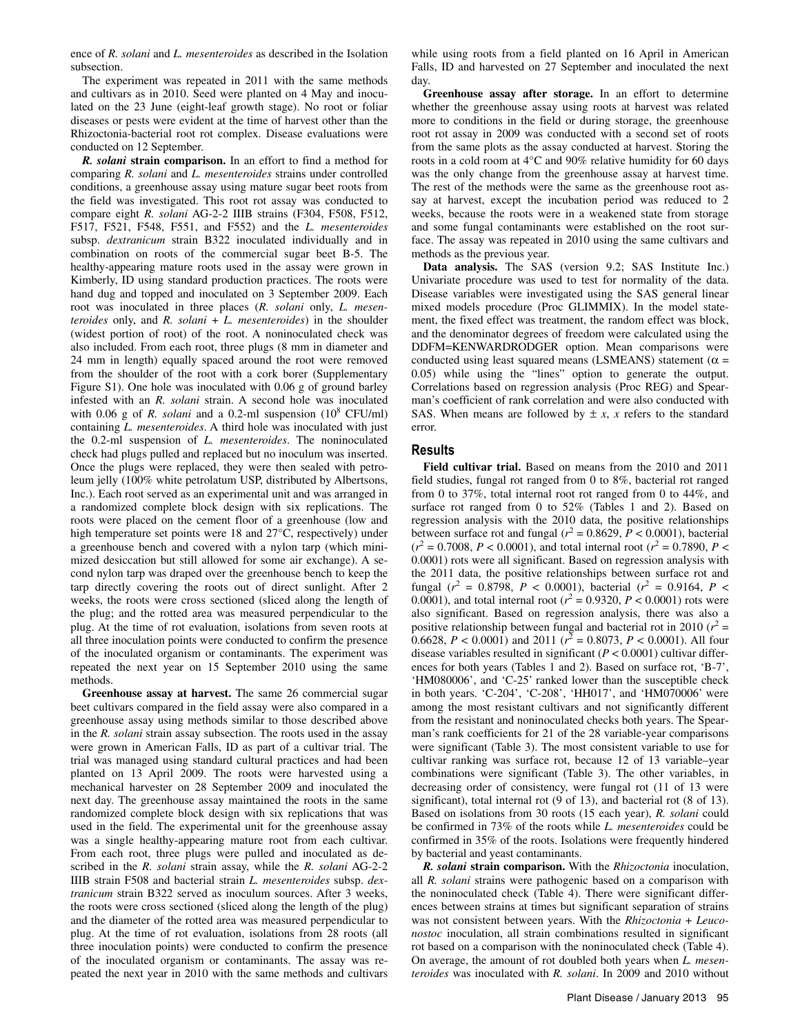ence of *R. solani* and *L. mesenteroides* as described in the Isolation subsection.

The experiment was repeated in 2011 with the same methods and cultivars as in 2010. Seed were planted on 4 May and inoculated on the 23 June (eight-leaf growth stage). No root or foliar diseases or pests were evident at the time of harvest other than the Rhizoctonia-bacterial root rot complex. Disease evaluations were conducted on 12 September.

*R. solani* **strain comparison.** In an effort to find a method for comparing *R. solani* and *L. mesenteroides* strains under controlled conditions, a greenhouse assay using mature sugar beet roots from the field was investigated. This root rot assay was conducted to compare eight *R. solani* AG-2-2 IIIB strains (F304, F508, F512, F517, F521, F548, F551, and F552) and the *L. mesenteroides* subsp. *dextranicum* strain B322 inoculated individually and in combination on roots of the commercial sugar beet B-5. The healthy-appearing mature roots used in the assay were grown in Kimberly, ID using standard production practices. The roots were hand dug and topped and inoculated on 3 September 2009. Each root was inoculated in three places (*R. solani* only, *L. mesenteroides* only, and *R. solani* + *L. mesenteroides*) in the shoulder (widest portion of root) of the root. A noninoculated check was also included. From each root, three plugs (8 mm in diameter and 24 mm in length) equally spaced around the root were removed from the shoulder of the root with a cork borer (Supplementary Figure S1). One hole was inoculated with 0.06 g of ground barley infested with an *R. solani* strain. A second hole was inoculated with  $0.06$  g of *R. solani* and a  $0.2$ -ml suspension  $(10^8 \text{ CFU/ml})$ containing *L. mesenteroides*. A third hole was inoculated with just the 0.2-ml suspension of *L. mesenteroides*. The noninoculated check had plugs pulled and replaced but no inoculum was inserted. Once the plugs were replaced, they were then sealed with petroleum jelly (100% white petrolatum USP, distributed by Albertsons, Inc.). Each root served as an experimental unit and was arranged in a randomized complete block design with six replications. The roots were placed on the cement floor of a greenhouse (low and high temperature set points were 18 and 27°C, respectively) under a greenhouse bench and covered with a nylon tarp (which minimized desiccation but still allowed for some air exchange). A second nylon tarp was draped over the greenhouse bench to keep the tarp directly covering the roots out of direct sunlight. After 2 weeks, the roots were cross sectioned (sliced along the length of the plug; and the rotted area was measured perpendicular to the plug. At the time of rot evaluation, isolations from seven roots at all three inoculation points were conducted to confirm the presence of the inoculated organism or contaminants. The experiment was repeated the next year on 15 September 2010 using the same methods.

**Greenhouse assay at harvest.** The same 26 commercial sugar beet cultivars compared in the field assay were also compared in a greenhouse assay using methods similar to those described above in the *R. solani* strain assay subsection. The roots used in the assay were grown in American Falls, ID as part of a cultivar trial. The trial was managed using standard cultural practices and had been planted on 13 April 2009. The roots were harvested using a mechanical harvester on 28 September 2009 and inoculated the next day. The greenhouse assay maintained the roots in the same randomized complete block design with six replications that was used in the field. The experimental unit for the greenhouse assay was a single healthy-appearing mature root from each cultivar. From each root, three plugs were pulled and inoculated as described in the *R. solani* strain assay, while the *R. solani* AG-2-2 IIIB strain F508 and bacterial strain *L. mesenteroides* subsp. *dextranicum* strain B322 served as inoculum sources. After 3 weeks, the roots were cross sectioned (sliced along the length of the plug) and the diameter of the rotted area was measured perpendicular to plug. At the time of rot evaluation, isolations from 28 roots (all three inoculation points) were conducted to confirm the presence of the inoculated organism or contaminants. The assay was repeated the next year in 2010 with the same methods and cultivars while using roots from a field planted on 16 April in American Falls, ID and harvested on 27 September and inoculated the next day.

**Greenhouse assay after storage.** In an effort to determine whether the greenhouse assay using roots at harvest was related more to conditions in the field or during storage, the greenhouse root rot assay in 2009 was conducted with a second set of roots from the same plots as the assay conducted at harvest. Storing the roots in a cold room at 4°C and 90% relative humidity for 60 days was the only change from the greenhouse assay at harvest time. The rest of the methods were the same as the greenhouse root assay at harvest, except the incubation period was reduced to 2 weeks, because the roots were in a weakened state from storage and some fungal contaminants were established on the root surface. The assay was repeated in 2010 using the same cultivars and methods as the previous year.

**Data analysis.** The SAS (version 9.2; SAS Institute Inc.) Univariate procedure was used to test for normality of the data. Disease variables were investigated using the SAS general linear mixed models procedure (Proc GLIMMIX). In the model statement, the fixed effect was treatment, the random effect was block, and the denominator degrees of freedom were calculated using the DDFM=KENWARDRODGER option. Mean comparisons were conducted using least squared means (LSMEANS) statement ( $\alpha$  = 0.05) while using the "lines" option to generate the output. Correlations based on regression analysis (Proc REG) and Spearman's coefficient of rank correlation and were also conducted with SAS. When means are followed by  $\pm x$ , *x* refers to the standard error.

### **Results**

**Field cultivar trial.** Based on means from the 2010 and 2011 field studies, fungal rot ranged from 0 to 8%, bacterial rot ranged from 0 to 37%, total internal root rot ranged from 0 to 44%, and surface rot ranged from 0 to 52% (Tables 1 and 2). Based on regression analysis with the 2010 data, the positive relationships between surface rot and fungal ( $r^2 = 0.8629$ ,  $P < 0.0001$ ), bacterial  $(r^2 = 0.7008, P < 0.0001)$ , and total internal root  $(r^2 = 0.7890, P <$ 0.0001) rots were all significant. Based on regression analysis with the 2011 data, the positive relationships between surface rot and fungal ( $r^2 = 0.8798$ ,  $P < 0.0001$ ), bacterial ( $r^2 = 0.9164$ ,  $P <$ 0.0001), and total internal root ( $r^2 = 0.9320$ ,  $P < 0.0001$ ) rots were also significant. Based on regression analysis, there was also a positive relationship between fungal and bacterial rot in 2010 ( $r^2$  = 0.6628,  $P < 0.0001$ ) and 2011 ( $r^2 = 0.8073$ ,  $P < 0.0001$ ). All four disease variables resulted in significant (*P* < 0.0001) cultivar differences for both years (Tables 1 and 2). Based on surface rot, 'B-7', 'HM080006', and 'C-25' ranked lower than the susceptible check in both years. 'C-204', 'C-208', 'HH017', and 'HM070006' were among the most resistant cultivars and not significantly different from the resistant and noninoculated checks both years. The Spearman's rank coefficients for 21 of the 28 variable-year comparisons were significant (Table 3). The most consistent variable to use for cultivar ranking was surface rot, because 12 of 13 variable–year combinations were significant (Table 3). The other variables, in decreasing order of consistency, were fungal rot (11 of 13 were significant), total internal rot (9 of 13), and bacterial rot (8 of 13). Based on isolations from 30 roots (15 each year), *R. solani* could be confirmed in 73% of the roots while *L. mesenteroides* could be confirmed in 35% of the roots. Isolations were frequently hindered by bacterial and yeast contaminants.

*R. solani* **strain comparison.** With the *Rhizoctonia* inoculation, all *R. solani* strains were pathogenic based on a comparison with the noninoculated check (Table 4). There were significant differences between strains at times but significant separation of strains was not consistent between years. With the *Rhizoctonia* + *Leuconostoc* inoculation, all strain combinations resulted in significant rot based on a comparison with the noninoculated check (Table 4). On average, the amount of rot doubled both years when *L. mesenteroides* was inoculated with *R. solani*. In 2009 and 2010 without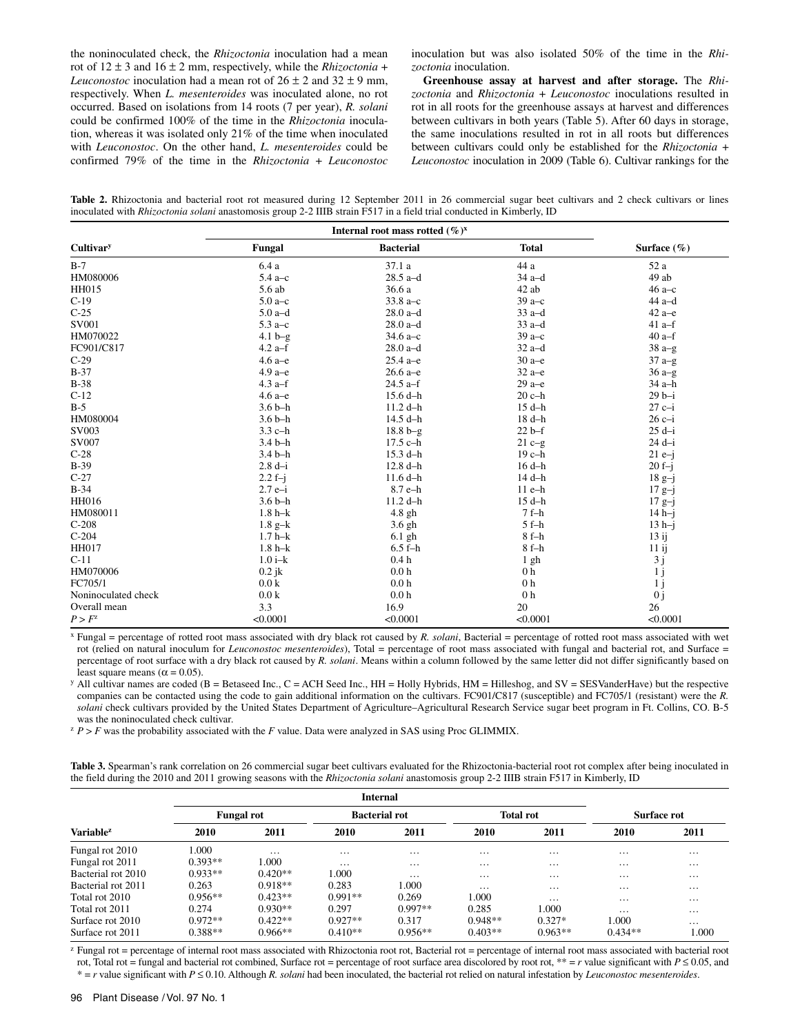the noninoculated check, the *Rhizoctonia* inoculation had a mean rot of  $12 \pm 3$  and  $16 \pm 2$  mm, respectively, while the *Rhizoctonia* + *Leuconostoc* inoculation had a mean rot of  $26 \pm 2$  and  $32 \pm 9$  mm, respectively. When *L. mesenteroides* was inoculated alone, no rot occurred. Based on isolations from 14 roots (7 per year), *R. solani* could be confirmed 100% of the time in the *Rhizoctonia* inoculation, whereas it was isolated only 21% of the time when inoculated with *Leuconostoc*. On the other hand, *L. mesenteroides* could be confirmed 79% of the time in the *Rhizoctonia* + *Leuconostoc* inoculation but was also isolated 50% of the time in the *Rhizoctonia* inoculation.

**Greenhouse assay at harvest and after storage.** The *Rhizoctonia* and *Rhizoctonia* + *Leuconostoc* inoculations resulted in rot in all roots for the greenhouse assays at harvest and differences between cultivars in both years (Table 5). After 60 days in storage, the same inoculations resulted in rot in all roots but differences between cultivars could only be established for the *Rhizoctonia* + *Leuconostoc* inoculation in 2009 (Table 6). Cultivar rankings for the

Table 2. Rhizoctonia and bacterial root rot measured during 12 September 2011 in 26 commercial sugar beet cultivars and 2 check cultivars or lines inoculated with *Rhizoctonia solani* anastomosis group 2-2 IIIB strain F517 in a field trial conducted in Kimberly, ID

|                     | Internal root mass rotted $(\%)^{x}$ |                  |                |                 |  |
|---------------------|--------------------------------------|------------------|----------------|-----------------|--|
| Cultivary           | Fungal                               | <b>Bacterial</b> | <b>Total</b>   | Surface $(\% )$ |  |
| $B-7$               | 6.4a                                 | 37.1 a           | 44 a           | 52 a            |  |
| HM080006            | $5.4a-c$                             | $28.5$ a-d       | $34a-d$        | 49 ab           |  |
| HH015               | 5.6 ab                               | 36.6 a           | 42 ab          | $46a - c$       |  |
| $C-19$              | $5.0a-c$                             | 33.8 a-c         | $39a - c$      | $44$ a-d        |  |
| $C-25$              | $5.0a-d$                             | $28.0 a-d$       | $33a-d$        | $42a-e$         |  |
| SV001               | $5.3 a-c$                            | $28.0 a-d$       | $33a-d$        | $41a-f$         |  |
| HM070022            | $4.1 b-g$                            | 34.6 $a-c$       | $39a - c$      | $40a-f$         |  |
| FC901/C817          | $4.2 a-f$                            | $28.0 a-d$       | $32a-d$        | $38a-g$         |  |
| $C-29$              | $4.6a$ -e                            | $25.4 a - e$     | $30a-e$        | $37a-g$         |  |
| $B-37$              | $4.9a$ -e                            | $26.6a - e$      | $32a-e$        | $36a-g$         |  |
| $B-38$              | $4.3$ a-f                            | $24.5$ a-f       | $29a - e$      | 34 a-h          |  |
| $C-12$              | $4.6a$ -e                            | $15.6 d-h$       | $20c-h$        | $29 b - i$      |  |
| $B-5$               | $3.6 b-h$                            | $11.2 d-h$       | $15 d-h$       | $27c-i$         |  |
| HM080004            | $3.6 b-h$                            | 14.5 d-h         | $18 d-h$       | $26c-i$         |  |
| SV003               | $3.3$ c-h                            | $18.8 b-g$       | $22 b-f$       | $25 d-i$        |  |
| SV007               | $3.4b-h$                             | 17.5 c-h         | $21 c-g$       | $24 d-i$        |  |
| $C-28$              | $3.4 b-h$                            | $15.3 d-h$       | $19c-h$        | $21 e-j$        |  |
| $B-39$              | $2.8 d-i$                            | $12.8 d-h$       | $16 d-h$       | $20 f - j$      |  |
| $C-27$              | $2.2 f - j$                          | $11.6 d-h$       | 14 d-h         | $18g-j$         |  |
| $B-34$              | $2.7 e-i$                            | $8.7 e-h$        | $11$ e-h       | $17g-j$         |  |
| HH016               | $3.6 b-h$                            | $11.2 d-h$       | $15 d-h$       | $17g-j$         |  |
| HM080011            | $1.8 h - k$                          | $4.8$ gh         | $7f-h$         | $14 h-i$        |  |
| $C-208$             | $1.8 g-k$                            | $3.6$ gh         | $5f-h$         | $13 h-j$        |  |
| $C-204$             | $1.7 h - k$                          | $6.1$ gh         | $8f-h$         | $13$ ij         |  |
| HH017               | $1.8 h - k$                          | $6.5 f-h$        | $8f-h$         | $11$ ij         |  |
| $C-11$              | $1.0 i-k$                            | 0.4h             | $1$ gh         | 3j              |  |
| HM070006            | $0.2$ jk                             | 0.0 <sub>h</sub> | 0 <sub>h</sub> | 1j              |  |
| FC705/1             | 0.0 <sub>k</sub>                     | 0.0 <sub>h</sub> | 0 <sub>h</sub> | 1j              |  |
| Noninoculated check | 0.0 <sub>k</sub>                     | 0.0 <sub>h</sub> | 0 <sub>h</sub> | 0j              |  |
| Overall mean        | 3.3                                  | 16.9             | 20             | 26              |  |
| $P > F^z$           | < 0.0001                             | < 0.0001         | < 0.0001       | < 0.0001        |  |

x Fungal = percentage of rotted root mass associated with dry black rot caused by *R. solani*, Bacterial = percentage of rotted root mass associated with wet rot (relied on natural inoculum for *Leuconostoc mesenteroides*), Total = percentage of root mass associated with fungal and bacterial rot, and Surface = percentage of root surface with a dry black rot caused by *R. solani*. Means within a column followed by the same letter did not differ significantly based on

least square means (α = 0.05).<br><sup>y</sup> All cultivar names are coded (B = Betaseed Inc., C = ACH Seed Inc., HH = Holly Hybrids, HM = Hilleshog, and SV = SESVanderHave) but the respective companies can be contacted using the code to gain additional information on the cultivars. FC901/C817 (susceptible) and FC705/1 (resistant) were the *R. solani* check cultivars provided by the United States Department of Agriculture–Agricultural Research Service sugar beet program in Ft. Collins, CO. B-5 was the noninoculated check cultivar.

<sup>z</sup>*P* > *F* was the probability associated with the *F* value. Data were analyzed in SAS using Proc GLIMMIX.

**Table 3.** Spearman's rank correlation on 26 commercial sugar beet cultivars evaluated for the Rhizoctonia-bacterial root rot complex after being inoculated in the field during the 2010 and 2011 growing seasons with the *Rhizoctonia solani* anastomosis group 2-2 IIIB strain F517 in Kimberly, ID

|                       |           | <b>Internal</b>   |           |                      |           |                  |                   |             |  |
|-----------------------|-----------|-------------------|-----------|----------------------|-----------|------------------|-------------------|-------------|--|
|                       |           | <b>Fungal rot</b> |           | <b>Bacterial rot</b> |           | <b>Total rot</b> |                   | Surface rot |  |
| Variable <sup>z</sup> | 2010      | 2011              | 2010      | 2011                 | 2010      | 2011             | 2010              | 2011        |  |
| Fungal rot 2010       | 1.000     | $\cdots$          | $\cdots$  | $\cdots$             | $\cdots$  | $\cdots$         | $\cdots$          | $\cdots$    |  |
| Fungal rot 2011       | $0.393**$ | 1.000             | $\cdots$  | $\cdots$             | $\cdots$  | $\cdots$         | $\cdots$          | $\cdots$    |  |
| Bacterial rot 2010    | $0.933**$ | $0.420**$         | 1.000     | $\cdots$             | $\cdots$  | $\cdots$         | $\cdots$          | $\cdots$    |  |
| Bacterial rot 2011    | 0.263     | $0.918**$         | 0.283     | 1.000                | $\cdots$  | $\cdots$         | $\cdots$          | $\cdots$    |  |
| Total rot 2010        | $0.956**$ | $0.423**$         | $0.991**$ | 0.269                | 1.000     | $\cdots$         | $\cdot\cdot\cdot$ | $\cdots$    |  |
| Total rot 2011        | 0.274     | $0.930**$         | 0.297     | $0.997**$            | 0.285     | 1.000            | $\cdots$          | $\cdots$    |  |
| Surface rot 2010      | $0.972**$ | $0.422**$         | $0.927**$ | 0.317                | $0.948**$ | $0.327*$         | 1.000             | $\cdots$    |  |
| Surface rot 2011      | $0.388**$ | $0.966**$         | $0.410**$ | $0.956**$            | $0.403**$ | $0.963**$        | $0.434**$         | 1.000       |  |

<sup>z</sup> Fungal rot = percentage of internal root mass associated with Rhizoctonia root rot, Bacterial rot = percentage of internal root mass associated with bacterial root rot, Total rot = fungal and bacterial rot combined, Surface rot = percentage of root surface area discolored by root rot, \*\* = *r* value significant with *P* ≤ 0.05, and \* = *r* value significant with *P* ≤ 0.10. Although *R. solani* had been inoculated, the bacterial rot relied on natural infestation by *Leuconostoc mesenteroides*.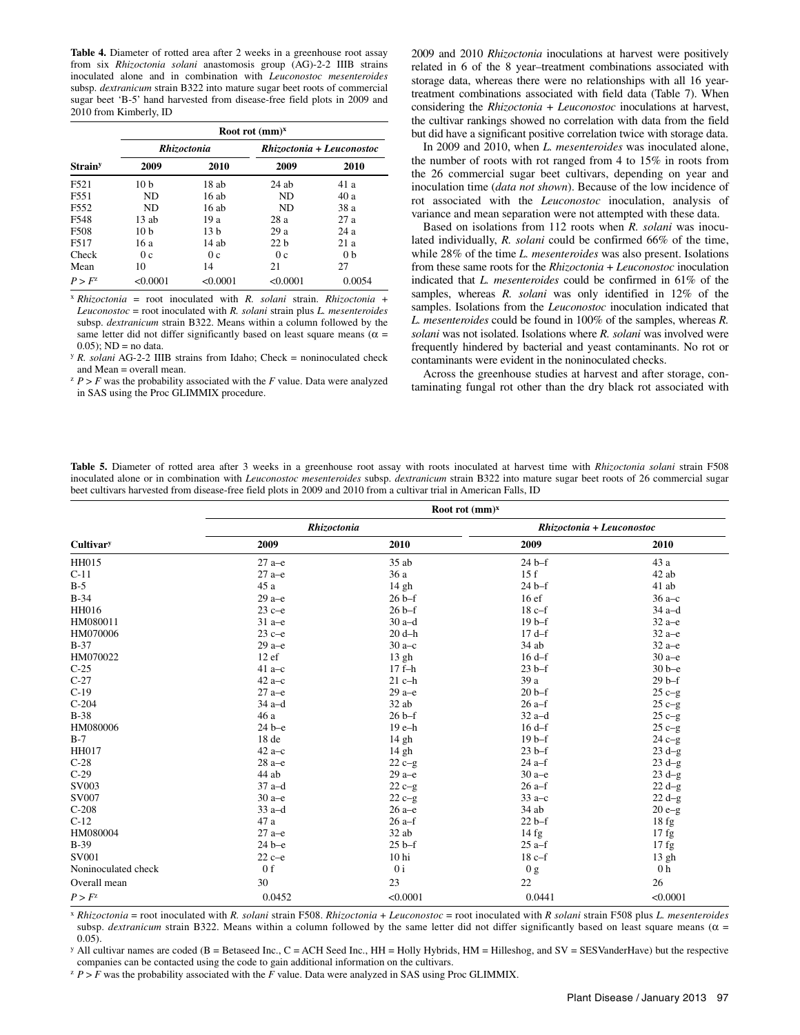**Table 4.** Diameter of rotted area after 2 weeks in a greenhouse root assay from six *Rhizoctonia solani* anastomosis group (AG)-2-2 IIIB strains inoculated alone and in combination with *Leuconostoc mesenteroides* subsp. *dextranicum* strain B322 into mature sugar beet roots of commercial sugar beet 'B-5' hand harvested from disease-free field plots in 2009 and 2010 from Kimberly, ID

|                            |                 | Root rot $(mm)^x$ |                           |                |  |  |  |  |
|----------------------------|-----------------|-------------------|---------------------------|----------------|--|--|--|--|
|                            |                 | Rhizoctonia       | Rhizoctonia + Leuconostoc |                |  |  |  |  |
| <b>Strain</b> <sup>y</sup> | 2009            | 2010              | 2009                      | 2010           |  |  |  |  |
| F521                       | 10 <sub>b</sub> | 18 ab             | $24$ ab                   | 41 a           |  |  |  |  |
| F551                       | ND              | 16ab              | <b>ND</b>                 | 40a            |  |  |  |  |
| F <sub>552</sub>           | <b>ND</b>       | 16ab              | <b>ND</b>                 | 38 a           |  |  |  |  |
| F548                       | $13$ ab         | 19 a              | 28 a                      | 27a            |  |  |  |  |
| F508                       | 10 <sub>b</sub> | 13 <sub>b</sub>   | 29a                       | 24 a           |  |  |  |  |
| F517                       | 16 a            | $14$ ab           | 22h                       | 21a            |  |  |  |  |
| Check                      | 0c              | 0c                | 0c                        | 0 <sub>b</sub> |  |  |  |  |
| Mean                       | 10              | 14                | 21                        | 27             |  |  |  |  |
| P > F <sup>z</sup>         | < 0.0001        | < 0.0001          | < 0.0001                  | 0.0054         |  |  |  |  |

<sup>x</sup>*Rhizoctonia* = root inoculated with *R. solani* strain. *Rhizoctonia* + *Leuconostoc* = root inoculated with *R. solani* strain plus *L. mesenteroides* subsp. *dextranicum* strain B322. Means within a column followed by the same letter did not differ significantly based on least square means ( $\alpha$  =  $(0.05)$ ; ND = no data.

<sup>y</sup> *R. solani* AG-2-2 IIIB strains from Idaho; Check = noninoculated check and Mean = overall mean.

 $Z^2$  *P* > *F* was the probability associated with the *F* value. Data were analyzed in SAS using the Proc GLIMMIX procedure.

2009 and 2010 *Rhizoctonia* inoculations at harvest were positively related in 6 of the 8 year–treatment combinations associated with storage data, whereas there were no relationships with all 16 yeartreatment combinations associated with field data (Table 7). When considering the *Rhizoctonia* + *Leuconostoc* inoculations at harvest, the cultivar rankings showed no correlation with data from the field but did have a significant positive correlation twice with storage data.

In 2009 and 2010, when *L. mesenteroides* was inoculated alone, the number of roots with rot ranged from 4 to 15% in roots from the 26 commercial sugar beet cultivars, depending on year and inoculation time (*data not shown*). Because of the low incidence of rot associated with the *Leuconostoc* inoculation, analysis of variance and mean separation were not attempted with these data.

Based on isolations from 112 roots when *R. solani* was inoculated individually, *R. solani* could be confirmed 66% of the time, while 28% of the time *L. mesenteroides* was also present. Isolations from these same roots for the *Rhizoctonia* + *Leuconostoc* inoculation indicated that *L. mesenteroides* could be confirmed in 61% of the samples, whereas *R. solani* was only identified in 12% of the samples. Isolations from the *Leuconostoc* inoculation indicated that *L. mesenteroides* could be found in 100% of the samples, whereas *R. solani* was not isolated. Isolations where *R. solani* was involved were frequently hindered by bacterial and yeast contaminants. No rot or contaminants were evident in the noninoculated checks.

Across the greenhouse studies at harvest and after storage, contaminating fungal rot other than the dry black rot associated with

**Table 5.** Diameter of rotted area after 3 weeks in a greenhouse root assay with roots inoculated at harvest time with *Rhizoctonia solani* strain F508 inoculated alone or in combination with *Leuconostoc mesenteroides* subsp. *dextranicum* strain B322 into mature sugar beet roots of 26 commercial sugar beet cultivars harvested from disease-free field plots in 2009 and 2010 from a cultivar trial in American Falls, ID

|                     | Root rot $(mm)^x$  |                  |                           |                |  |  |  |  |
|---------------------|--------------------|------------------|---------------------------|----------------|--|--|--|--|
| Cultivary           | <b>Rhizoctonia</b> |                  | Rhizoctonia + Leuconostoc |                |  |  |  |  |
|                     | 2009               | 2010             | 2009                      | 2010           |  |  |  |  |
| HH015               | $27a-e$            | 35 ab            | $24b-f$                   | 43 a           |  |  |  |  |
| $C-11$              | $27a-e$            | 36 a             | 15f                       | 42 ab          |  |  |  |  |
| $B-5$               | 45 a               | 14 gh            | $24b-f$                   | 41 ab          |  |  |  |  |
| $B-34$              | $29a - e$          | $26 b-f$         | 16 <sub>ef</sub>          | $36a-c$        |  |  |  |  |
| HH016               | $23c-e$            | 26 <sub>bf</sub> | $18c-f$                   | $34a-d$        |  |  |  |  |
| HM080011            | $31a-e$            | $30a-d$          | $19b-f$                   | $32a-e$        |  |  |  |  |
| HM070006            | $23c-e$            | $20 d-h$         | $17d-f$                   | $32a-e$        |  |  |  |  |
| $B-37$              | $29a - e$          | $30a-c$          | $34$ ab                   | $32a-e$        |  |  |  |  |
| HM070022            | 12ef               | 13 gh            | $16d-f$                   | $30a - e$      |  |  |  |  |
| $C-25$              | $41a-c$            | $17f-h$          | $23 b-f$                  | $30b-e$        |  |  |  |  |
| $C-27$              | $42a-c$            | $21$ c-h         | 39 a                      | $29b-f$        |  |  |  |  |
| $C-19$              | $27a-e$            | $29a - e$        | $20b-f$                   | $25c-g$        |  |  |  |  |
| $C-204$             | $34a-d$            | 32 ab            | $26a-f$                   | $25c-g$        |  |  |  |  |
| $B-38$              | 46 a               | $26 b-f$         | $32a-d$                   | $25c-g$        |  |  |  |  |
| HM080006            | $24 b - e$         | 19 e-h           | $16d-f$                   | $25 c-g$       |  |  |  |  |
| $B-7$               | 18de               | 14 gh            | $19b-f$                   | $24c-g$        |  |  |  |  |
| <b>HH017</b>        | $42a-c$            | 14 gh            | $23 b-f$                  | $23 d-g$       |  |  |  |  |
| $C-28$              | $28a - e$          | $22c-g$          | $24$ a-f                  | $23 d-g$       |  |  |  |  |
| $C-29$              | 44 ab              | $29a - e$        | $30a-e$                   | $23 d-g$       |  |  |  |  |
| SV003               | $37$ a-d           | $22c-g$          | $26$ a-f                  | $22 d-g$       |  |  |  |  |
| <b>SV007</b>        | $30a$ -e           | $22c-g$          | $33a-c$                   | $22 d-g$       |  |  |  |  |
| $C-208$             | $33a-d$            | $26a$ -e         | 34 ab                     | $20e-g$        |  |  |  |  |
| $C-12$              | 47 a               | $26$ a-f         | $22 b-f$                  | 18fg           |  |  |  |  |
| HM080004            | $27$ a- $e$        | $32$ ab          | 14 fg                     | 17fg           |  |  |  |  |
| $B-39$              | $24b-e$            | $25b-f$          | $25$ a-f                  | $17$ fg        |  |  |  |  |
| SV001               | $22c-e$            | 10 <sub>hi</sub> | $18c-f$                   | 13 gh          |  |  |  |  |
| Noninoculated check | 0 <sub>f</sub>     | 0 <sub>i</sub>   | 0 <sub>g</sub>            | 0 <sub>h</sub> |  |  |  |  |
| Overall mean        | 30                 | 23               | 22                        | 26             |  |  |  |  |
| $P > F^z$           | 0.0452             | < 0.0001         | 0.0441                    | < 0.0001       |  |  |  |  |

<sup>x</sup>*Rhizoctonia* = root inoculated with *R. solani* strain F508. *Rhizoctonia* + *Leuconostoc* = root inoculated with *R solani* strain F508 plus *L. mesenteroides* subsp. *dextranicum* strain B322. Means within a column followed by the same letter did not differ significantly based on least square means (α = 0.05).

 $\gamma$  All cultivar names are coded (B = Betaseed Inc., C = ACH Seed Inc., HH = Holly Hybrids, HM = Hilleshog, and SV = SESVanderHave) but the respective companies can be contacted using the code to gain additional information on the cultivars.

 $P$  > *F* was the probability associated with the *F* value. Data were analyzed in SAS using Proc GLIMMIX.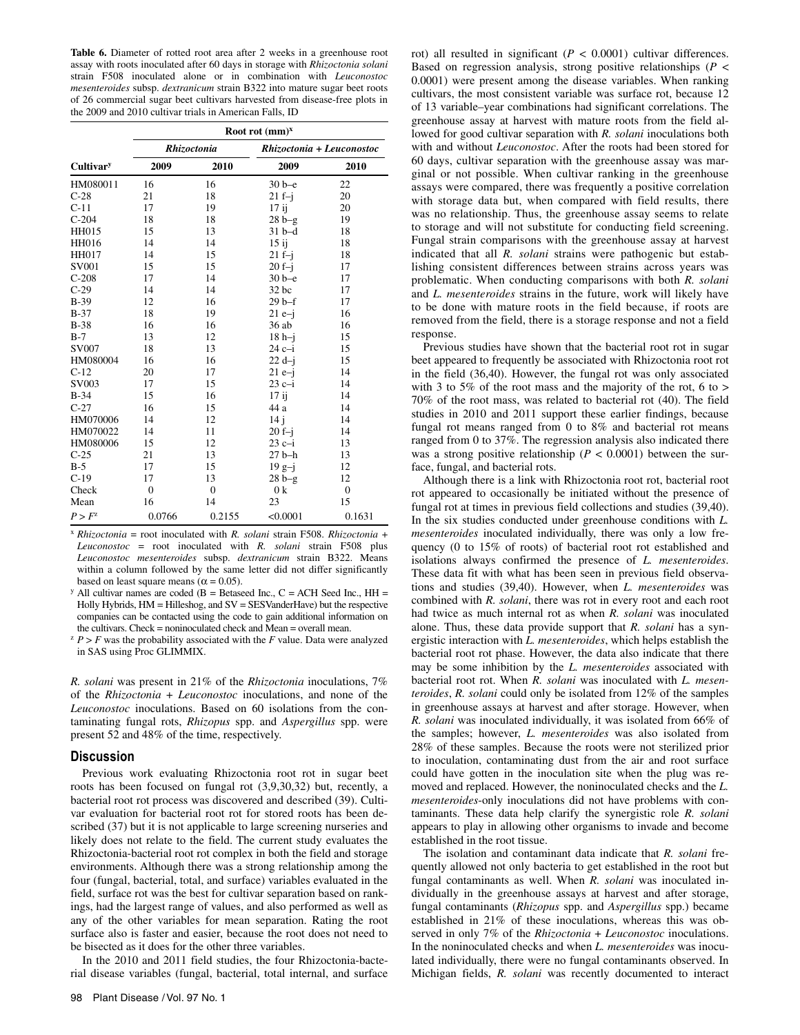**Table 6.** Diameter of rotted root area after 2 weeks in a greenhouse root assay with roots inoculated after 60 days in storage with *Rhizoctonia solani* strain F508 inoculated alone or in combination with *Leuconostoc mesenteroides* subsp. *dextranicum* strain B322 into mature sugar beet roots of 26 commercial sugar beet cultivars harvested from disease-free plots in the 2009 and 2010 cultivar trials in American Falls, ID

|                       | Root rot $(mm)^x$ |                    |                           |                |  |  |  |  |
|-----------------------|-------------------|--------------------|---------------------------|----------------|--|--|--|--|
|                       |                   | <b>Rhizoctonia</b> | Rhizoctonia + Leuconostoc |                |  |  |  |  |
| Cultivar <sup>y</sup> | 2009              | 2010               | 2009                      | 2010           |  |  |  |  |
| HM080011              | 16                | 16                 | $30b-e$                   | 22             |  |  |  |  |
| $C-28$                | 21                | 18                 | $21f-i$                   | 20             |  |  |  |  |
| $C-11$                | 17                | 19                 | $17$ ij                   | 20             |  |  |  |  |
| $C-204$               | 18                | 18                 | $28 b-g$                  | 19             |  |  |  |  |
| <b>HH015</b>          | 15                | 13                 | $31 b-d$                  | 18             |  |  |  |  |
| <b>HH016</b>          | 14                | 14                 | $15$ ij                   | 18             |  |  |  |  |
| HH017                 | 14                | 15                 | $21f-i$                   | 18             |  |  |  |  |
| SV001                 | 15                | 15                 | $20 f - i$                | 17             |  |  |  |  |
| $C-208$               | 17                | 14                 | $30b-e$                   | 17             |  |  |  |  |
| $C-29$                | 14                | 14                 | 32 bc                     | 17             |  |  |  |  |
| $B-39$                | 12                | 16                 | $29b-f$                   | 17             |  |  |  |  |
| $B-37$                | 18                | 19                 | $21e-i$                   | 16             |  |  |  |  |
| $B-38$                | 16                | 16                 | 36 ab                     | 16             |  |  |  |  |
| $B-7$                 | 13                | 12                 | $18 h-j$                  | 15             |  |  |  |  |
| SV007                 | 18                | 13                 | $24c-i$                   | 15             |  |  |  |  |
| HM080004              | 16                | 16                 | $22 \text{ d}-i$          | 15             |  |  |  |  |
| $C-12$                | 20                | 17                 | $21e-i$                   | 14             |  |  |  |  |
| SV003                 | 17                | 15                 | $23c-i$                   | 14             |  |  |  |  |
| $B-34$                | 15                | 16                 | $17$ ij                   | 14             |  |  |  |  |
| $C-27$                | 16                | 15                 | 44 a                      | 14             |  |  |  |  |
| HM070006              | 14                | 12                 | 14 j                      | 14             |  |  |  |  |
| HM070022              | 14                | 11                 | $20 f - j$                | 14             |  |  |  |  |
| HM080006              | 15                | 12                 | $23c-i$                   | 13             |  |  |  |  |
| $C-25$                | 21                | 13                 | $27 b-h$                  | 13             |  |  |  |  |
| $B-5$                 | 17                | 15                 | $19g-j$                   | 12             |  |  |  |  |
| $C-19$                | 17                | 13                 | $28 b-g$                  | 12             |  |  |  |  |
| Check                 | $\overline{0}$    | $\overline{0}$     | 0 <sub>k</sub>            | $\overline{0}$ |  |  |  |  |
| Mean                  | 16                | 14                 | 23                        | 15             |  |  |  |  |
| P > F <sup>z</sup>    | 0.0766            | 0.2155             | < 0.0001                  | 0.1631         |  |  |  |  |

<sup>x</sup>*Rhizoctonia* = root inoculated with *R. solani* strain F508. *Rhizoctonia* + *Leuconostoc* = root inoculated with *R. solani* strain F508 plus *Leuconostoc mesenteroides* subsp. *dextranicum* strain B322. Means within a column followed by the same letter did not differ significantly

based on least square means ( $\alpha$  = 0.05). <br>y All cultivar names are coded (B = Betaseed Inc., C = ACH Seed Inc., HH = Holly Hybrids, HM = Hilleshog, and SV = SESVanderHave) but the respective companies can be contacted using the code to gain additional information on the cultivars. Check = noninoculated check and Mean = overall mean.

 $Z^Z$  *P* > *F* was the probability associated with the *F* value. Data were analyzed in SAS using Proc GLIMMIX.

*R. solani* was present in 21% of the *Rhizoctonia* inoculations, 7% of the *Rhizoctonia* + *Leuconostoc* inoculations, and none of the *Leuconostoc* inoculations. Based on 60 isolations from the contaminating fungal rots, *Rhizopus* spp. and *Aspergillus* spp. were present 52 and 48% of the time, respectively.

#### **Discussion**

Previous work evaluating Rhizoctonia root rot in sugar beet roots has been focused on fungal rot (3,9,30,32) but, recently, a bacterial root rot process was discovered and described (39). Cultivar evaluation for bacterial root rot for stored roots has been described (37) but it is not applicable to large screening nurseries and likely does not relate to the field. The current study evaluates the Rhizoctonia-bacterial root rot complex in both the field and storage environments. Although there was a strong relationship among the four (fungal, bacterial, total, and surface) variables evaluated in the field, surface rot was the best for cultivar separation based on rankings, had the largest range of values, and also performed as well as any of the other variables for mean separation. Rating the root surface also is faster and easier, because the root does not need to be bisected as it does for the other three variables.

In the 2010 and 2011 field studies, the four Rhizoctonia-bacterial disease variables (fungal, bacterial, total internal, and surface

98 Plant Disease / Vol. 97 No. 1

rot) all resulted in significant  $(P < 0.0001)$  cultivar differences. Based on regression analysis, strong positive relationships (*P* < 0.0001) were present among the disease variables. When ranking cultivars, the most consistent variable was surface rot, because 12 of 13 variable–year combinations had significant correlations. The greenhouse assay at harvest with mature roots from the field allowed for good cultivar separation with *R. solani* inoculations both with and without *Leuconostoc*. After the roots had been stored for 60 days, cultivar separation with the greenhouse assay was marginal or not possible. When cultivar ranking in the greenhouse assays were compared, there was frequently a positive correlation with storage data but, when compared with field results, there was no relationship. Thus, the greenhouse assay seems to relate to storage and will not substitute for conducting field screening. Fungal strain comparisons with the greenhouse assay at harvest indicated that all *R. solani* strains were pathogenic but establishing consistent differences between strains across years was problematic. When conducting comparisons with both *R. solani* and *L. mesenteroides* strains in the future, work will likely have to be done with mature roots in the field because, if roots are removed from the field, there is a storage response and not a field response.

Previous studies have shown that the bacterial root rot in sugar beet appeared to frequently be associated with Rhizoctonia root rot in the field (36,40). However, the fungal rot was only associated with 3 to 5% of the root mass and the majority of the rot, 6 to  $>$ 70% of the root mass, was related to bacterial rot (40). The field studies in 2010 and 2011 support these earlier findings, because fungal rot means ranged from 0 to 8% and bacterial rot means ranged from 0 to 37%. The regression analysis also indicated there was a strong positive relationship ( $P < 0.0001$ ) between the surface, fungal, and bacterial rots.

Although there is a link with Rhizoctonia root rot, bacterial root rot appeared to occasionally be initiated without the presence of fungal rot at times in previous field collections and studies (39,40). In the six studies conducted under greenhouse conditions with *L. mesenteroides* inoculated individually, there was only a low frequency (0 to 15% of roots) of bacterial root rot established and isolations always confirmed the presence of *L. mesenteroides*. These data fit with what has been seen in previous field observations and studies (39,40). However, when *L. mesenteroides* was combined with *R. solani*, there was rot in every root and each root had twice as much internal rot as when *R. solani* was inoculated alone. Thus, these data provide support that *R. solani* has a synergistic interaction with *L. mesenteroides*, which helps establish the bacterial root rot phase. However, the data also indicate that there may be some inhibition by the *L. mesenteroides* associated with bacterial root rot. When *R. solani* was inoculated with *L. mesenteroides*, *R. solani* could only be isolated from 12% of the samples in greenhouse assays at harvest and after storage. However, when *R. solani* was inoculated individually, it was isolated from 66% of the samples; however, *L. mesenteroides* was also isolated from 28% of these samples. Because the roots were not sterilized prior to inoculation, contaminating dust from the air and root surface could have gotten in the inoculation site when the plug was removed and replaced. However, the noninoculated checks and the *L. mesenteroides*-only inoculations did not have problems with contaminants. These data help clarify the synergistic role *R. solani* appears to play in allowing other organisms to invade and become established in the root tissue.

The isolation and contaminant data indicate that *R. solani* frequently allowed not only bacteria to get established in the root but fungal contaminants as well. When *R. solani* was inoculated individually in the greenhouse assays at harvest and after storage, fungal contaminants (*Rhizopus* spp. and *Aspergillus* spp.) became established in 21% of these inoculations, whereas this was observed in only 7% of the *Rhizoctonia* + *Leuconostoc* inoculations. In the noninoculated checks and when *L. mesenteroides* was inoculated individually, there were no fungal contaminants observed. In Michigan fields, *R. solani* was recently documented to interact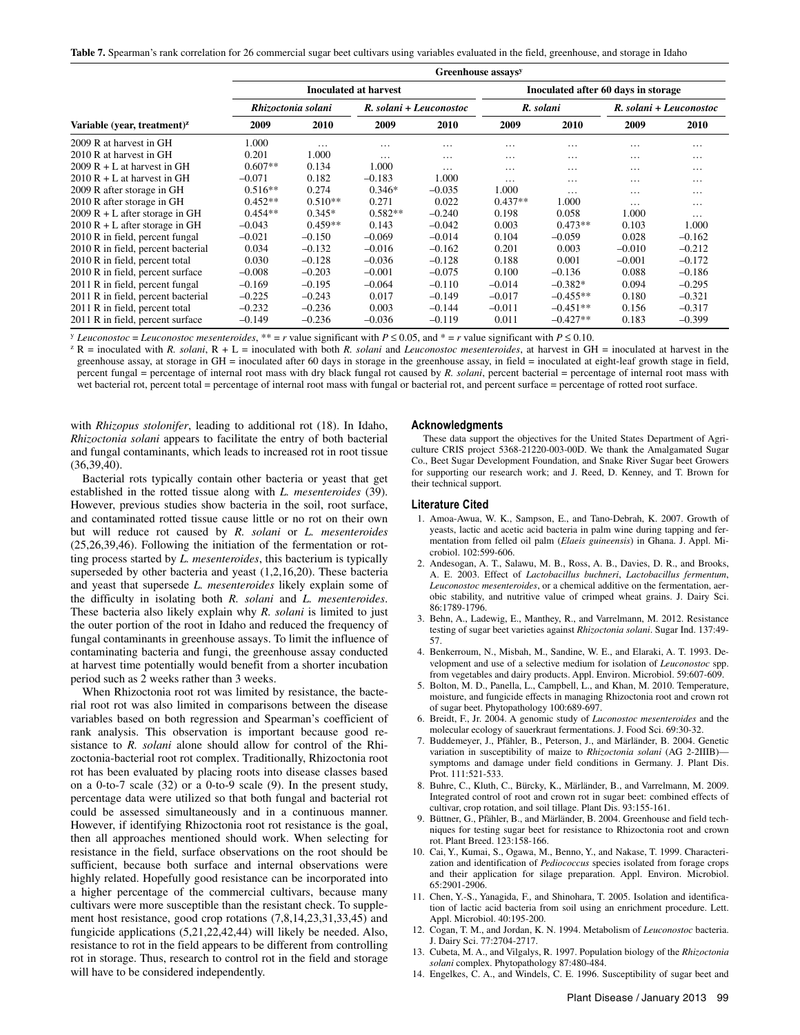**Table 7.** Spearman's rank correlation for 26 commercial sugar beet cultivars using variables evaluated in the field, greenhouse, and storage in Idaho

|                                                      | Greenhouse assays <sup>y</sup> |                    |           |                         |           |                                     |          |                         |  |
|------------------------------------------------------|--------------------------------|--------------------|-----------|-------------------------|-----------|-------------------------------------|----------|-------------------------|--|
|                                                      | Inoculated at harvest          |                    |           |                         |           | Inoculated after 60 days in storage |          |                         |  |
|                                                      |                                | Rhizoctonia solani |           | R. solani + Leuconostoc |           | R. solani                           |          | R. solani + Leuconostoc |  |
| Variable (year, treatment) <sup><math>z</math></sup> | 2009                           | 2010               | 2009      | 2010                    | 2009      | 2010                                | 2009     | 2010                    |  |
| 2009 R at harvest in GH                              | 1.000                          | $\cdots$           | $\cdots$  | $\cdots$                | $\cdots$  | .                                   | .        | $\cdots$                |  |
| 2010 R at harvest in GH                              | 0.201                          | 1.000              | $\cdots$  | $\cdots$                | .         | .                                   | $\cdots$ | $\cdots$                |  |
| $2009 R + L$ at harvest in GH                        | $0.607**$                      | 0.134              | 1.000     | $\cdots$                | $\cdots$  | .                                   | $\cdots$ | $\cdots$                |  |
| $2010 R + L$ at harvest in GH                        | $-0.071$                       | 0.182              | $-0.183$  | 1.000                   | $\cdots$  | .                                   | $\cdots$ | $\cdots$                |  |
| 2009 R after storage in GH                           | $0.516**$                      | 0.274              | $0.346*$  | $-0.035$                | 1.000     | $\cdots$                            | $\cdots$ | $\cdots$                |  |
| 2010 R after storage in GH                           | $0.452**$                      | $0.510**$          | 0.271     | 0.022                   | $0.437**$ | 1.000                               | $\cdots$ | $\cdots$                |  |
| $2009 R + L$ after storage in GH                     | $0.454**$                      | $0.345*$           | $0.582**$ | $-0.240$                | 0.198     | 0.058                               | 1.000    | $\cdots$                |  |
| $2010 R + L$ after storage in GH                     | $-0.043$                       | $0.459**$          | 0.143     | $-0.042$                | 0.003     | $0.473**$                           | 0.103    | 1.000                   |  |
| 2010 R in field, percent fungal                      | $-0.021$                       | $-0.150$           | $-0.069$  | $-0.014$                | 0.104     | $-0.059$                            | 0.028    | $-0.162$                |  |
| 2010 R in field, percent bacterial                   | 0.034                          | $-0.132$           | $-0.016$  | $-0.162$                | 0.201     | 0.003                               | $-0.010$ | $-0.212$                |  |
| 2010 R in field, percent total                       | 0.030                          | $-0.128$           | $-0.036$  | $-0.128$                | 0.188     | 0.001                               | $-0.001$ | $-0.172$                |  |
| 2010 R in field, percent surface                     | $-0.008$                       | $-0.203$           | $-0.001$  | $-0.075$                | 0.100     | $-0.136$                            | 0.088    | $-0.186$                |  |
| 2011 R in field, percent fungal                      | $-0.169$                       | $-0.195$           | $-0.064$  | $-0.110$                | $-0.014$  | $-0.382*$                           | 0.094    | $-0.295$                |  |
| 2011 R in field, percent bacterial                   | $-0.225$                       | $-0.243$           | 0.017     | $-0.149$                | $-0.017$  | $-0.455**$                          | 0.180    | $-0.321$                |  |
| 2011 R in field, percent total                       | $-0.232$                       | $-0.236$           | 0.003     | $-0.144$                | $-0.011$  | $-0.451**$                          | 0.156    | $-0.317$                |  |
| 2011 R in field, percent surface                     | $-0.149$                       | $-0.236$           | $-0.036$  | $-0.119$                | 0.011     | $-0.427**$                          | 0.183    | $-0.399$                |  |

<sup>y</sup> Leuconostoc = Leuconostoc mesenteroides, \*\* = r value significant with  $P \le 0.05$ , and \* = r value significant with  $P \le 0.10$ .<br><sup>z</sup> R = inoculated with *R*. *solani*, R + L = inoculated with both *R. solani* and *Leuc* greenhouse assay, at storage in GH = inoculated after 60 days in storage in the greenhouse assay, in field = inoculated at eight-leaf growth stage in field, percent fungal = percentage of internal root mass with dry black fungal rot caused by *R. solani*, percent bacterial = percentage of internal root mass with wet bacterial rot, percent total = percentage of internal root mass with fungal or bacterial rot, and percent surface = percentage of rotted root surface.

with *Rhizopus stolonifer*, leading to additional rot (18). In Idaho, *Rhizoctonia solani* appears to facilitate the entry of both bacterial and fungal contaminants, which leads to increased rot in root tissue (36,39,40).

Bacterial rots typically contain other bacteria or yeast that get established in the rotted tissue along with *L. mesenteroides* (39). However, previous studies show bacteria in the soil, root surface, and contaminated rotted tissue cause little or no rot on their own but will reduce rot caused by *R. solani* or *L. mesenteroides*  (25,26,39,46). Following the initiation of the fermentation or rotting process started by *L. mesenteroides*, this bacterium is typically superseded by other bacteria and yeast (1,2,16,20). These bacteria and yeast that supersede *L. mesenteroides* likely explain some of the difficulty in isolating both *R. solani* and *L. mesenteroides*. These bacteria also likely explain why *R. solani* is limited to just the outer portion of the root in Idaho and reduced the frequency of fungal contaminants in greenhouse assays. To limit the influence of contaminating bacteria and fungi, the greenhouse assay conducted at harvest time potentially would benefit from a shorter incubation period such as 2 weeks rather than 3 weeks.

When Rhizoctonia root rot was limited by resistance, the bacterial root rot was also limited in comparisons between the disease variables based on both regression and Spearman's coefficient of rank analysis. This observation is important because good resistance to *R. solani* alone should allow for control of the Rhizoctonia-bacterial root rot complex. Traditionally, Rhizoctonia root rot has been evaluated by placing roots into disease classes based on a 0-to-7 scale (32) or a 0-to-9 scale (9). In the present study, percentage data were utilized so that both fungal and bacterial rot could be assessed simultaneously and in a continuous manner. However, if identifying Rhizoctonia root rot resistance is the goal, then all approaches mentioned should work. When selecting for resistance in the field, surface observations on the root should be sufficient, because both surface and internal observations were highly related. Hopefully good resistance can be incorporated into a higher percentage of the commercial cultivars, because many cultivars were more susceptible than the resistant check. To supplement host resistance, good crop rotations (7,8,14,23,31,33,45) and fungicide applications (5,21,22,42,44) will likely be needed. Also, resistance to rot in the field appears to be different from controlling rot in storage. Thus, research to control rot in the field and storage will have to be considered independently.

#### **Acknowledgments**

These data support the objectives for the United States Department of Agriculture CRIS project 5368-21220-003-00D. We thank the Amalgamated Sugar Co., Beet Sugar Development Foundation, and Snake River Sugar beet Growers for supporting our research work; and J. Reed, D. Kenney, and T. Brown for their technical support.

#### **Literature Cited**

- 1. Amoa-Awua, W. K., Sampson, E., and Tano-Debrah, K. 2007. Growth of yeasts, lactic and acetic acid bacteria in palm wine during tapping and fermentation from felled oil palm (*Elaeis guineensis*) in Ghana. J. Appl. Microbiol. 102:599-606.
- 2. Andesogan, A. T., Salawu, M. B., Ross, A. B., Davies, D. R., and Brooks, A. E. 2003. Effect of *Lactobacillus buchneri*, *Lactobacillus fermentum*, *Leuconostoc mesenteroides*, or a chemical additive on the fermentation, aerobic stability, and nutritive value of crimped wheat grains. J. Dairy Sci. 86:1789-1796.
- 3. Behn, A., Ladewig, E., Manthey, R., and Varrelmann, M. 2012. Resistance testing of sugar beet varieties against *Rhizoctonia solani*. Sugar Ind. 137:49- 57.
- 4. Benkerroum, N., Misbah, M., Sandine, W. E., and Elaraki, A. T. 1993. Development and use of a selective medium for isolation of *Leuconostoc* spp. from vegetables and dairy products. Appl. Environ. Microbiol. 59:607-609.
- 5. Bolton, M. D., Panella, L., Campbell, L., and Khan, M. 2010. Temperature, moisture, and fungicide effects in managing Rhizoctonia root and crown rot of sugar beet. Phytopathology 100:689-697.
- 6. Breidt, F., Jr. 2004. A genomic study of *Luconostoc mesenteroides* and the molecular ecology of sauerkraut fermentations. J. Food Sci. 69:30-32.
- 7. Buddemeyer, J., Pfähler, B., Peterson, J., and Märländer, B. 2004. Genetic variation in susceptibility of maize to *Rhizoctonia solani* (AG 2-2IIIB) symptoms and damage under field conditions in Germany. J. Plant Dis. Prot. 111:521-533.
- 8. Buhre, C., Kluth, C., Bürcky, K., Märländer, B., and Varrelmann, M. 2009. Integrated control of root and crown rot in sugar beet: combined effects of cultivar, crop rotation, and soil tillage. Plant Dis. 93:155-161.
- 9. Büttner, G., Pfähler, B., and Märländer, B. 2004. Greenhouse and field techniques for testing sugar beet for resistance to Rhizoctonia root and crown rot. Plant Breed. 123:158-166.
- 10. Cai, Y., Kumai, S., Ogawa, M., Benno, Y., and Nakase, T. 1999. Characterization and identification of *Pediococcus* species isolated from forage crops and their application for silage preparation. Appl. Environ. Microbiol. 65:2901-2906.
- 11. Chen, Y.-S., Yanagida, F., and Shinohara, T. 2005. Isolation and identification of lactic acid bacteria from soil using an enrichment procedure. Lett. Appl. Microbiol. 40:195-200.
- 12. Cogan, T. M., and Jordan, K. N. 1994. Metabolism of *Leuconostoc* bacteria. J. Dairy Sci. 77:2704-2717.
- 13. Cubeta, M. A., and Vilgalys, R. 1997. Population biology of the *Rhizoctonia solani* complex. Phytopathology 87:480-484.
- 14. Engelkes, C. A., and Windels, C. E. 1996. Susceptibility of sugar beet and